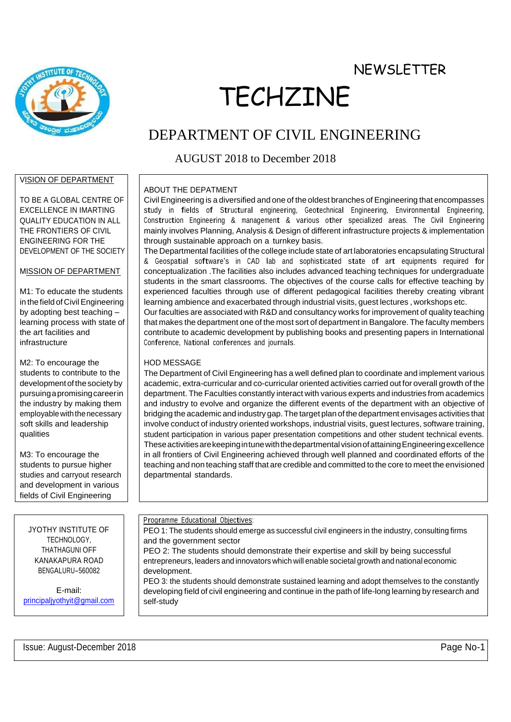**NEWSLETTER** 



# TECHZINE

## DEPARTMENT OF CIVIL ENGINEERING

### AUGUST 2018 to December 2018

#### VISION OF DEPARTMENT

TO BE A GLOBAL CENTRE OF EXCELLENCE IN IMARTING QUALITY EDUCATION IN ALL THE FRONTIERS OF CIVIL ENGINEERING FOR THE DEVELOPMENT OF THE SOCIETY

#### MISSION OF DEPARTMENT

M1: To educate the students in the field of Civil Engineering by adopting best teaching – learning process with state of the art facilities and infrastructure

M2: To encourage the students to contribute to the development of the society by pursuingapromisingcareerin the industry by making them employable with the necessary soft skills and leadership qualities

M3: To encourage the students to pursue higher studies and carryout research and development in various fields of Civil Engineering

JYOTHY INSTITUTE OF TECHNOLOGY, THATHAGUNI OFF KANAKAPURA ROAD BENGALURU-560082

E-mail: [principaljyothyit@gmail.com](mailto:rincipaljyothyit@gmail.com)

#### ABOUT THE DEPATMENT

Civil Engineering is a diversified and one of the oldest branches of Engineering that encompasses study in fields of Structural engineering, Geotechnical Engineering, Environmental Engineering, Construction Engineering & management & various other specialized areas. The Civil Engineering mainly involves Planning, Analysis & Design of different infrastructure projects & implementation through sustainable approach on a turnkey basis.

The Departmental facilities of the college include state of art laboratories encapsulating Structural & Geospatial software's in CAD lab and sophisticated state of art equipments required for conceptualization .The facilities also includes advanced teaching techniques for undergraduate students in the smart classrooms. The objectives of the course calls for effective teaching by experienced faculties through use of different pedagogical facilities thereby creating vibrant learning ambience and exacerbated through industrial visits, guest lectures , workshops etc. Our faculties are associated with R&D and consultancy works for improvement of quality teaching

that makes the department one of the most sort of department in Bangalore. The faculty members contribute to academic development by publishing books and presenting papers in International Conference, National conferences and journals.

#### HOD MESSAGE

The Department of Civil Engineering has a well defined plan to coordinate and implement various academic, extra-curricular and co-curricular oriented activities carried out for overall growth of the department. The Faculties constantly interact with various experts and industries from academics and industry to evolve and organize the different events of the department with an objective of bridging the academic and industry gap.The target plan of the department envisages activities that involve conduct of industry oriented workshops, industrial visits, guest lectures, software training, student participation in various paper presentation competitions and other student technical events. TheseactivitiesarekeepingintunewiththedepartmentalvisionofattainingEngineeringexcellence in all frontiers of Civil Engineering achieved through well planned and coordinated efforts of the teaching and non teaching staff that are credible and committed to the core to meet the envisioned departmental standards.

Programme Educational Objectives:

PEO 1: The students should emerge as successful civil engineers in the industry, consulting firms and the government sector

PEO 2: The students should demonstrate their expertise and skill by being successful entrepreneurs, leaders and innovators which will enable societal growth and national economic development.

PEO 3: the students should demonstrate sustained learning and adopt themselves to the constantly developing field of civil engineering and continue in the path of life-long learning by research and self-study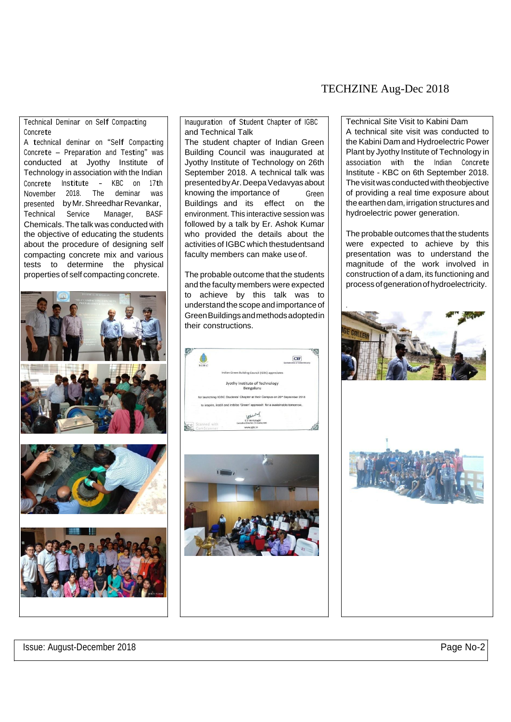#### TECHZINE Aug-Dec 2018

#### Technical Deminar on Self Compacting Concrete

<sup>A</sup> technical deminar on "Self Compacting Concrete – Preparation and Testing" was conducted at Jyothy Institute of Technology in association with the Indian Concrete Institute - KBC on 17th November 2018. The deminar was presented byMr.ShreedharRevankar, Technical Service Manager, BASF Chemicals. The talk was conducted with the objective of educating the students about the procedure of designing self compacting concrete mix and various tests to determine the physical properties of self compacting concrete.







Inauguration of Student Chapter of IGBC and Technical Talk

The student chapter of Indian Green Building Council was inaugurated at Jyothy Institute of Technology on 26th September 2018. A technical talk was presentedbyAr.DeepaVedavyasabout knowing the importance of Buildings and its effect on the Green environment. This interactive session was followed by a talk by Er. Ashok Kumar who provided the details about the activities of IGBC which thestudentsand faculty members can make useof.

The probable outcome that the students and the faculty members were expected to achieve by this talk was to understand the scope and importance of GreenBuildingsandmethodsadoptedin their constructions.





Technical Site Visit to Kabini Dam A technical site visit was conducted to the Kabini Dam and Hydroelectric Power Plant by Jyothy Institute of Technology in association with the Indian Concrete Institute - KBC on 6th September 2018. The visit was conducted with theobjective of providing a real time exposure about the earthen dam, irrigation structures and hydroelectric power generation.

The probable outcomes that the students were expected to achieve by this presentation was to understand the magnitude of the work involved in construction of a dam, its functioning and process of generation of hydroelectricity.





Issue: August-December 2018 **Page No-2** Page No-2